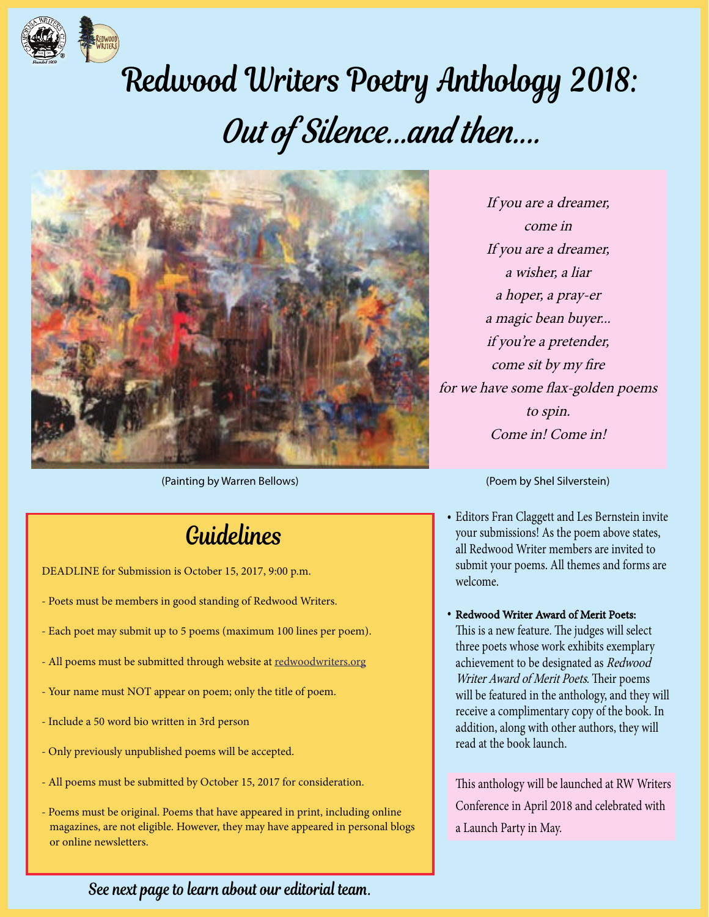

# Redwood Writers Poetry Anthology 2018: Out of Silence...and then....



(Painting by Warren Bellows)

### Guidelines

DEADLINE for Submission is October 15, 2017, 9:00 p.m.

- Poets must be members in good standing of Redwood Writers.
- Each poet may submit up to 5 poems (maximum 100 lines per poem).
- All poems must be submitted through website at redwoodwriters.org
- Your name must NOT appear on poem; only the title of poem.
- Include a 50 word bio written in 3rd person
- Only previously unpublished poems will be accepted.
- All poems must be submitted by October 15, 2017 for consideration.
- Poems must be original. Poems that have appeared in print, including online magazines, are not eligible. However, they may have appeared in personal blogs or online newsletters.

If you are a dreamer, come in If you are a dreamer, a wisher, a liar a hoper, a pray-er a magic bean buyer... if you're a pretender, come sit by my fire for we have some flax-golden poems to spin. Come in! Come in!

(Poem by Shel Silverstein)

- Editors Fran Claggett and Les Bernstein invite •your submissions! As the poem above states, all Redwood Writer members are invited to submit your poems. All themes and forms are welcome.
- Redwood Writer Award of Merit Poets: This is a new feature. The judges will select three poets whose work exhibits exemplary achievement to be designated as Redwood Writer Award of Merit Poets. Their poems will be featured in the anthology, and they will receive a complimentary copy of the book. In addition, along with other authors, they will read at the book launch.

This anthology will be launched at RW Writers Conference in April 2018 and celebrated with a Launch Party in May.

#### See next page to learn about our editorial team.